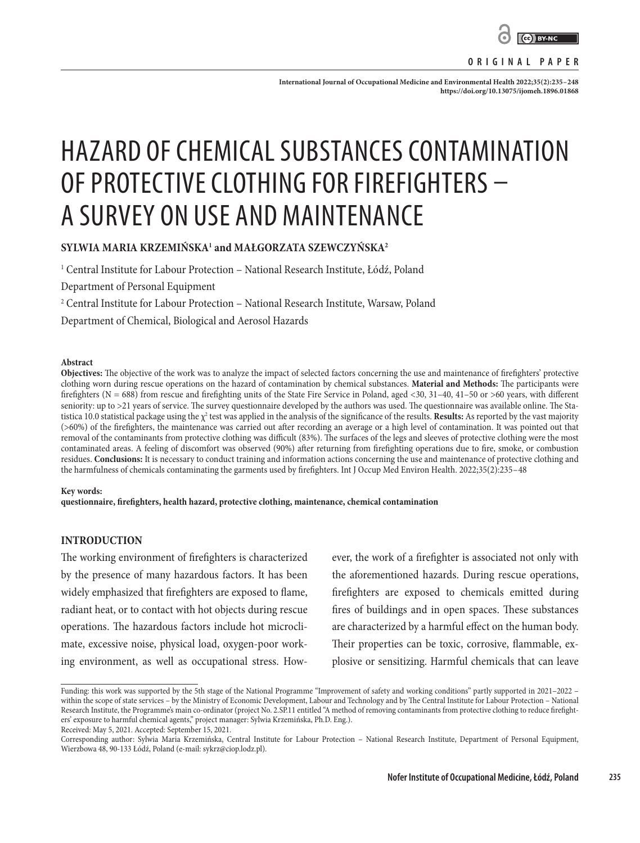

#### **ORIGINAL PAPER**

**International Journal of Occupational Medicine and Environmental Health 2022;35(2):235–248 <https://doi.org/10.13075/ijomeh.1896.01868>**

# HAZARD OF CHEMICAL SUBSTANCES CONTAMINATION OF PROTECTIVE CLOTHING FOR FIREFIGHTERS – A SURVEY ON USE AND MAINTENANCE

## **SYLWIA MARIA KRZEMIŃSKA1 and MAŁGORZATA SZEWCZYŃSKA2**

1 Central Institute for Labour Protection – National Research Institute, Łódź, Poland

Department of Personal Equipment

2 Central Institute for Labour Protection – National Research Institute, Warsaw, Poland

[Department of Chemical, Biological and Aerosol Hazards](http://www.ciop.pl/CIOPPortalWAR/appmanager/ciop/en?_nfpb=true&_pageLabel=P1620015251347877876935&unitId=50&presentationType=2&_prvPage=821)

#### **Abstract**

**Objectives:** The objective of the work was to analyze the impact of selected factors concerning the use and maintenance of firefighters' protective clothing worn during rescue operations on the hazard of contamination by chemical substances. **Material and Methods:** The participants were firefighters (N = 688) from rescue and firefighting units of the State Fire Service in Poland, aged <30, 31–40, 41–50 or >60 years, with different seniority: up to >21 years of service. The survey questionnaire developed by the authors was used. The questionnaire was available online. The Statistica 10.0 statistical package using the χ<sup>2</sup> test was applied in the analysis of the significance of the results. **Results:** As reported by the vast majority (>60%) of the firefighters, the maintenance was carried out after recording an average or a high level of contamination. It was pointed out that removal of the contaminants from protective clothing was difficult (83%). The surfaces of the legs and sleeves of protective clothing were the most contaminated areas. A feeling of discomfort was observed (90%) after returning from firefighting operations due to fire, smoke, or combustion residues. **Conclusions:** It is necessary to conduct training and information actions concerning the use and maintenance of protective clothing and the harmfulness of chemicals contaminating the garments used by firefighters. Int J Occup Med Environ Health. 2022;35(2):235–48

#### **Key words:**

**questionnaire, firefighters, health hazard, protective clothing, maintenance, chemical contamination**

## **INTRODUCTION**

The working environment of firefighters is characterized by the presence of many hazardous factors. It has been widely emphasized that firefighters are exposed to flame, radiant heat, or to contact with hot objects during rescue operations. The hazardous factors include hot microclimate, excessive noise, physical load, oxygen-poor working environment, as well as occupational stress. However, the work of a firefighter is associated not only with the aforementioned hazards. During rescue operations, firefighters are exposed to chemicals emitted during fires of buildings and in open spaces. These substances are characterized by a harmful effect on the human body. Their properties can be toxic, corrosive, flammable, explosive or sensitizing. Harmful chemicals that can leave

Funding: this work was supported by the 5th stage of the National Programme "Improvement of safety and working conditions" partly supported in 2021–2022 – within the scope of state services – by the Ministry of Economic Development, Labour and Technology and by The Central Institute for Labour Protection – National Research Institute, the Programme's main co-ordinator (project No. 2.SP.11 entitled "A method of removing contaminants from protective clothing to reduce firefighters' exposure to harmful chemical agents," project manager: Sylwia Krzemińska, Ph.D. Eng.).

Received: May 5, 2021. Accepted: September 15, 2021.

Corresponding author: Sylwia Maria Krzemińska, Central Institute for Labour Protection – National Research Institute, Department of Personal Equipment, Wierzbowa 48, 90-133 Łódź, Poland (e-mail: sykrz@ciop.lodz.pl).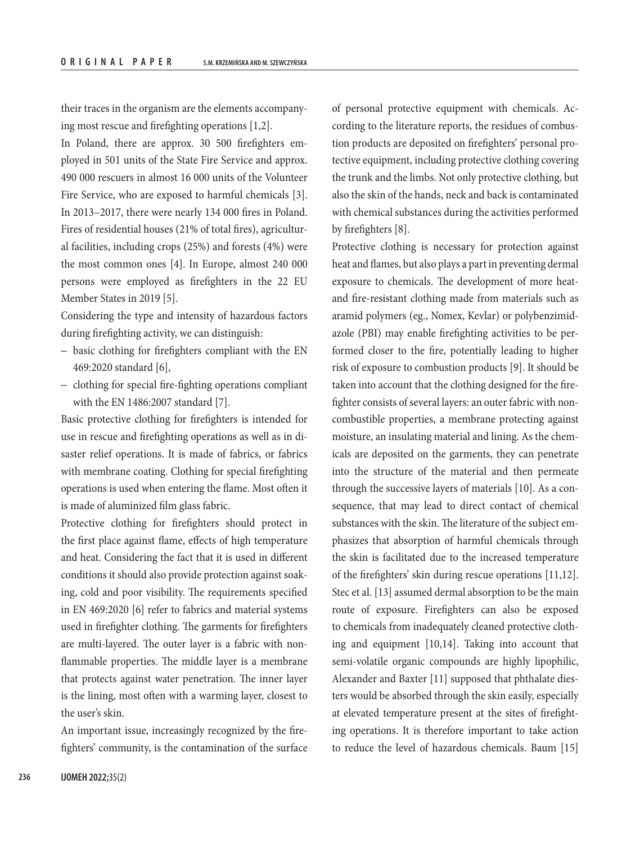their traces in the organism are the elements accompanying most rescue and firefighting operations [1,2].

In Poland, there are approx. 30 500 firefighters employed in 501 units of the State Fire Service and approx. 490 000 rescuers in almost 16 000 units of the Volunteer Fire Service, who are exposed to harmful chemicals [3]. In 2013–2017, there were nearly 134 000 fires in Poland. Fires of residential houses (21% of total fires), agricultural facilities, including crops (25%) and forests (4%) were the most common ones [4]. In Europe, almost 240 000 persons were employed as firefighters in the 22 EU Member States in 2019 [5].

Considering the type and intensity of hazardous factors during firefighting activity, we can distinguish:

- basic clothing for firefighters compliant with the EN 469:2020 standard [6],
- clothing for special fire-fighting operations compliant with the EN 1486:2007 standard [7].

Basic protective clothing for firefighters is intended for use in rescue and firefighting operations as well as in disaster relief operations. It is made of fabrics, or fabrics with membrane coating. Clothing for special firefighting operations is used when entering the flame. Most often it is made of aluminized film glass fabric.

Protective clothing for firefighters should protect in the first place against flame, effects of high temperature and heat. Considering the fact that it is used in different conditions it should also provide protection against soaking, cold and poor visibility. The requirements specified in EN 469:2020 [6] refer to fabrics and material systems used in firefighter clothing. The garments for firefighters are multi-layered. The outer layer is a fabric with nonflammable properties. The middle layer is a membrane that protects against water penetration. The inner layer is the lining, most often with a warming layer, closest to the user's skin.

An important issue, increasingly recognized by the firefighters' community, is the contamination of the surface of personal protective equipment with chemicals. According to the literature reports, the residues of combustion products are deposited on firefighters' personal protective equipment, including protective clothing covering the trunk and the limbs. Not only protective clothing, but also the skin of the hands, neck and back is contaminated with chemical substances during the activities performed by firefighters [8].

Protective clothing is necessary for protection against heat and flames, but also plays a part in preventing dermal exposure to chemicals. The development of more heatand fire-resistant clothing made from materials such as aramid polymers (eg., Nomex, Kevlar) or polybenzimidazole (PBI) may enable firefighting activities to be performed closer to the fire, potentially leading to higher risk of exposure to combustion products [9]. It should be taken into account that the clothing designed for the firefighter consists of several layers: an outer fabric with noncombustible properties, a membrane protecting against moisture, an insulating material and lining. As the chemicals are deposited on the garments, they can penetrate into the structure of the material and then permeate through the successive layers of materials [10]. As a consequence, that may lead to direct contact of chemical substances with the skin. The literature of the subject emphasizes that absorption of harmful chemicals through the skin is facilitated due to the increased temperature of the firefighters' skin during rescue operations [11,12]. Stec et al. [13] assumed dermal absorption to be the main route of exposure. Firefighters can also be exposed to chemicals from inadequately cleaned protective clothing and equipment [10,14]. Taking into account that semi-volatile organic compounds are highly lipophilic, Alexander and Baxter [11] supposed that phthalate diesters would be absorbed through the skin easily, especially at elevated temperature present at the sites of firefighting operations. It is therefore important to take action to reduce the level of hazardous chemicals. Baum [15]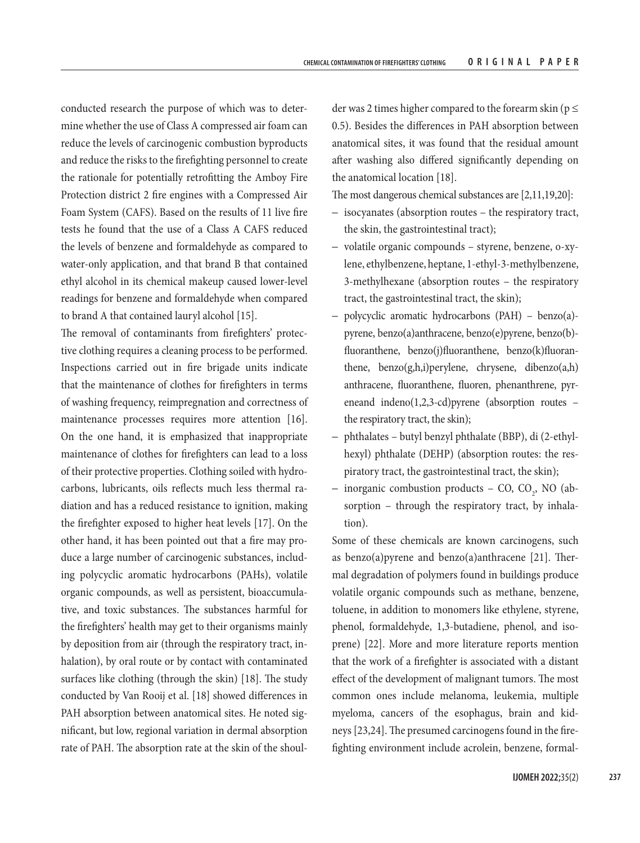conducted research the purpose of which was to determine whether the use of Class A compressed air foam can reduce the levels of carcinogenic combustion byproducts and reduce the risks to the firefighting personnel to create the rationale for potentially retrofitting the Amboy Fire Protection district 2 fire engines with a Compressed Air Foam System (CAFS). Based on the results of 11 live fire tests he found that the use of a Class A CAFS reduced the levels of benzene and formaldehyde as compared to water-only application, and that brand B that contained ethyl alcohol in its chemical makeup caused lower-level readings for benzene and formaldehyde when compared to brand A that contained lauryl alcohol [15].

The removal of contaminants from firefighters' protective clothing requires a cleaning process to be performed. Inspections carried out in fire brigade units indicate that the maintenance of clothes for firefighters in terms of washing frequency, reimpregnation and correctness of maintenance processes requires more attention [16]. On the one hand, it is emphasized that inappropriate maintenance of clothes for firefighters can lead to a loss of their protective properties. Clothing soiled with hydrocarbons, lubricants, oils reflects much less thermal radiation and has a reduced resistance to ignition, making the firefighter exposed to higher heat levels [17]. On the other hand, it has been pointed out that a fire may produce a large number of carcinogenic substances, including polycyclic aromatic hydrocarbons (PAHs), volatile organic compounds, as well as persistent, bioaccumulative, and toxic substances. The substances harmful for the firefighters' health may get to their organisms mainly by deposition from air (through the respiratory tract, inhalation), by oral route or by contact with contaminated surfaces like clothing (through the skin) [18]. The study conducted by Van Rooij et al. [18] showed differences in PAH absorption between anatomical sites. He noted significant, but low, regional variation in dermal absorption rate of PAH. The absorption rate at the skin of the shoul-

der was 2 times higher compared to the forearm skin ( $p \le$ 0.5). Besides the differences in PAH absorption between anatomical sites, it was found that the residual amount after washing also differed significantly depending on the anatomical location [18].

The most dangerous chemical substances are [2,11,19,20]:

- isocyanates (absorption routes the respiratory tract, the skin, the gastrointestinal tract);
- volatile organic compounds styrene, benzene, o-xylene, ethylbenzene, heptane, 1-ethyl-3-methylbenzene, 3-methylhexane (absorption routes – the respiratory tract, the gastrointestinal tract, the skin);
- polycyclic aromatic hydrocarbons (PAH) benzo(a) pyrene, benzo(a)anthracene, benzo(e)pyrene, benzo(b) fluoranthene, benzo(j)fluoranthene, benzo(k)fluoranthene, benzo(g,h,i)perylene, chrysene, dibenzo(a,h) anthracene, fluoranthene, fluoren, phenanthrene, pyreneand indeno(1,2,3-cd)pyrene (absorption routes – the respiratory tract, the skin);
- phthalates butyl benzyl phthalate (BBP), di (2-ethylhexyl) phthalate (DEHP) (absorption routes: the respiratory tract, the gastrointestinal tract, the skin);
- $-$  inorganic combustion products  $-$  CO, CO<sub>2</sub>, NO (absorption - through the respiratory tract, by inhalation).

Some of these chemicals are known carcinogens, such as benzo(a)pyrene and benzo(a)anthracene [21]. Thermal degradation of polymers found in buildings produce volatile organic compounds such as methane, benzene, toluene, in addition to monomers like ethylene, styrene, phenol, formaldehyde, 1,3-butadiene, phenol, and isoprene) [22]. More and more literature reports mention that the work of a firefighter is associated with a distant effect of the development of malignant tumors. The most common ones include melanoma, leukemia, multiple myeloma, cancers of the esophagus, brain and kidneys [23,24]. The presumed carcinogens found in the firefighting environment include acrolein, benzene, formal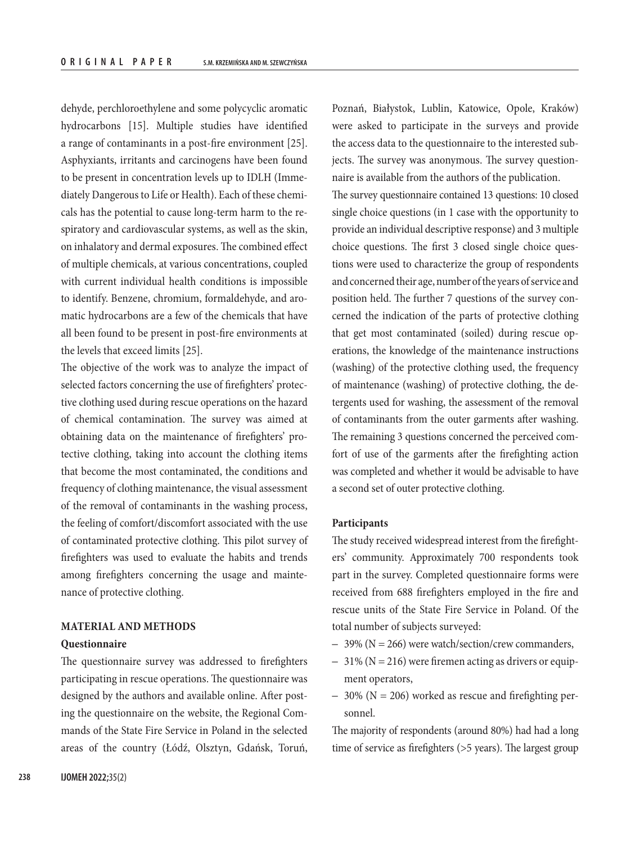dehyde, perchloroethylene and some polycyclic aromatic hydrocarbons [15]. Multiple studies have identified a range of contaminants in a post-fire environment [25]. Asphyxiants, irritants and carcinogens have been found to be present in concentration levels up to IDLH (Immediately Dangerous to Life or Health). Each of these chemicals has the potential to cause long-term harm to the respiratory and cardiovascular systems, as well as the skin, on inhalatory and dermal exposures. The combined effect of multiple chemicals, at various concentrations, coupled with current individual health conditions is impossible to identify. Benzene, chromium, formaldehyde, and aromatic hydrocarbons are a few of the chemicals that have all been found to be present in post-fire environments at the levels that exceed limits [25].

The objective of the work was to analyze the impact of selected factors concerning the use of firefighters' protective clothing used during rescue operations on the hazard of chemical contamination. The survey was aimed at obtaining data on the maintenance of firefighters' protective clothing, taking into account the clothing items that become the most contaminated, the conditions and frequency of clothing maintenance, the visual assessment of the removal of contaminants in the washing process, the feeling of comfort/discomfort associated with the use of contaminated protective clothing. This pilot survey of firefighters was used to evaluate the habits and trends among firefighters concerning the usage and maintenance of protective clothing.

# **MATERIAL AND METHODS [Questionnaire](http://ijomeh.eu/Keyword-Link+Burnout+Questionnaire/234245)**

The questionnaire survey was addressed to firefighters participating in rescue operations. The [questionnaire](http://ijomeh.eu/Keyword-Link+Burnout+Questionnaire/234245) was designed by the authors and available online. After posting the questionnaire on the website, the Regional Commands of the State Fire Service in Poland in the selected areas of the country (Łódź, Olsztyn, Gdańsk, Toruń,

Poznań, Białystok, Lublin, Katowice, Opole, Kraków) were asked to participate in the surveys and provide the access data to the questionnaire to the interested subjects. The survey was anonymous. The survey questionnaire is available from the authors of the publication.

The survey questionnaire contained 13 questions: 10 closed single choice questions (in 1 case with the opportunity to provide an individual descriptive response) and 3 multiple choice questions. The first 3 closed single choice questions were used to characterize the group of respondents and concerned their age, number of the years of service and position held. The further 7 questions of the survey concerned the indication of the parts of protective clothing that get most contaminated (soiled) during rescue operations, the knowledge of the maintenance instructions (washing) of the protective clothing used, the frequency of maintenance (washing) of protective clothing, the detergents used for washing, the assessment of the removal of contaminants from the outer garments after washing. The remaining 3 questions concerned the perceived comfort of use of the garments after the firefighting action was completed and whether it would be advisable to have a second set of outer protective clothing.

#### **Participants**

The study received widespread interest from the firefighters' community. Approximately 700 respondents took part in the survey. Completed questionnaire forms were received from 688 firefighters employed in the fire and rescue units of the State Fire Service in Poland. Of the total number of subjects surveyed:

- 39% (N = 266) were watch/section/crew commanders,
- $-31\%$  (N = 216) were firemen acting as drivers or equipment operators,
- $-$  30% (N = 206) worked as rescue and firefighting personnel.

The majority of respondents (around 80%) had had a long time of service as firefighters (>5 years). The largest group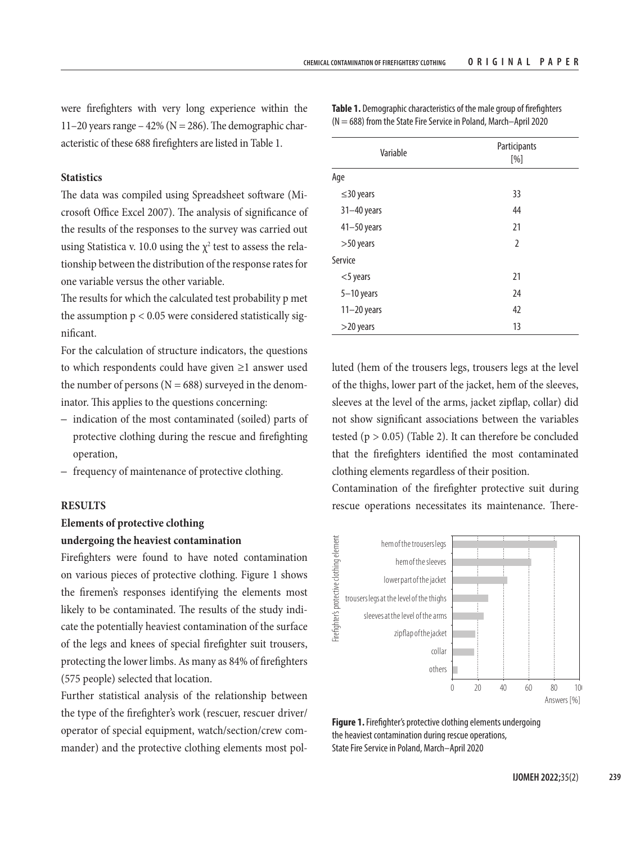were firefighters with very long experience within the 11–20 years range – 42% ( $N = 286$ ). The demographic characteristic of these 688 firefighters are listed in Table 1.

## **Statistics**

The data was compiled using Spreadsheet software (Microsoft Office Excel 2007). The analysis of significance of the results of the responses to the survey was carried out using Statistica v. 10.0 using the  $\chi^2$  test to assess the relationship between the distribution of the response rates for one variable versus the other variable.

The results for which the calculated test probability p met the assumption  $p < 0.05$  were considered statistically significant.

For the calculation of structure indicators, the questions to which respondents could have given ≥1 answer used the number of persons ( $N = 688$ ) surveyed in the denominator. This applies to the questions concerning:

- indication of the most contaminated (soiled) parts of protective clothing during the rescue and firefighting operation,
- frequency of maintenance of protective clothing.

#### **RESULTS**

# **Elements of protective clothing**

## **undergoing the heaviest contamination**

Firefighters were found to have noted contamination on various pieces of protective clothing. Figure 1 shows the firemen's responses identifying the elements most likely to be contaminated. The results of the study indicate the potentially heaviest contamination of the surface of the legs and knees of special firefighter suit trousers, protecting the lower limbs. As many as 84% of firefighters (575 people) selected that location.

Further statistical analysis of the relationship between the type of the firefighter's work (rescuer, rescuer driver/ operator of special equipment, watch/section/crew commander) and the protective clothing elements most pol-

| Variable        | Participants<br>[%] |  |  |
|-----------------|---------------------|--|--|
| Age             |                     |  |  |
| $\leq$ 30 years | 33                  |  |  |
| $31 - 40$ years | 44                  |  |  |
| $41 - 50$ years | 21                  |  |  |
| $>50$ years     | $\overline{2}$      |  |  |
| Service         |                     |  |  |
| $<$ 5 years     | 21                  |  |  |
| $5-10$ years    | 24                  |  |  |
| $11-20$ years   | 42                  |  |  |
| $>$ 20 years    | 13                  |  |  |

**Table 1.** Demographic characteristics of the male group of firefighters  $(N = 688)$  from the State Fire Service in Poland, March–April 2020

luted (hem of the trousers legs, trousers legs at the level of the thighs, lower part of the jacket, hem of the sleeves, sleeves at the level of the arms, jacket zipflap, collar) did not show significant associations between the variables tested ( $p > 0.05$ ) (Table 2). It can therefore be concluded that the firefighters identified the most contaminated clothing elements regardless of their position.

Contamination of the firefighter protective suit during rescue operations necessitates its maintenance. There-



**Figure 1.** Firefighter's protective clothing elements undergoing the heaviest contamination during rescue operations, State Fire Service in Poland, March–April 2020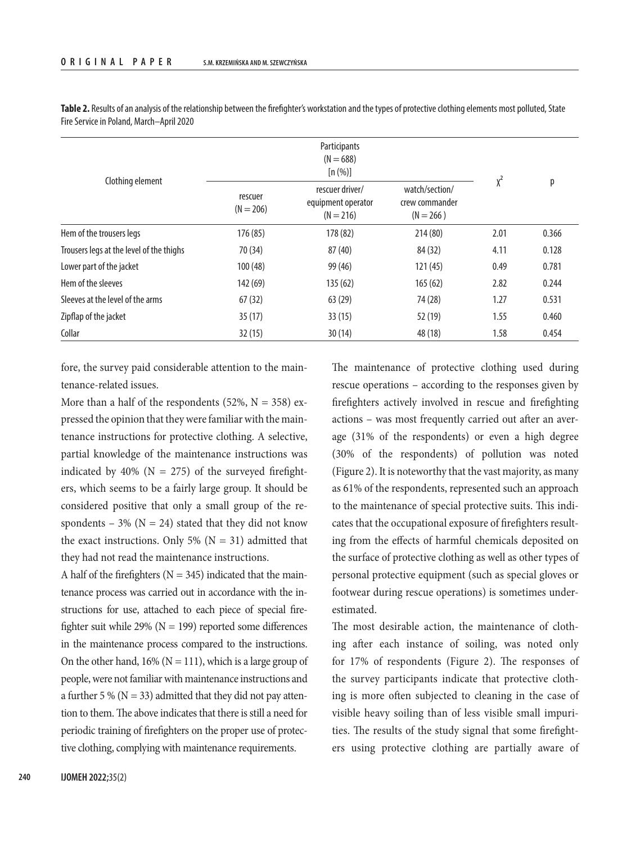|                                          |                        | Participants<br>$(N = 688)$<br>[n (%)]               |                                                 |          |       |
|------------------------------------------|------------------------|------------------------------------------------------|-------------------------------------------------|----------|-------|
| Clothing element                         | rescuer<br>$(N = 206)$ | rescuer driver/<br>equipment operator<br>$(N = 216)$ | watch/section/<br>crew commander<br>$(N = 266)$ | $\chi^2$ | р     |
| Hem of the trousers legs                 | 176 (85)               | 178 (82)                                             | 214 (80)                                        | 2.01     | 0.366 |
| Trousers legs at the level of the thighs | 70 (34)                | 87 (40)                                              | 84 (32)                                         | 4.11     | 0.128 |
| Lower part of the jacket                 | 100(48)                | 99 (46)                                              | 121(45)                                         | 0.49     | 0.781 |
| Hem of the sleeves                       | 142 (69)               | 135(62)                                              | 165(62)                                         | 2.82     | 0.244 |
| Sleeves at the level of the arms         | 67(32)                 | 63(29)                                               | 74 (28)                                         | 1.27     | 0.531 |
| Zipflap of the jacket                    | 35(17)                 | 33(15)                                               | 52 (19)                                         | 1.55     | 0.460 |
| Collar                                   | 32(15)                 | 30(14)                                               | 48 (18)                                         | 1.58     | 0.454 |

**Table 2.** Results of an analysis of the relationship between the firefighter's workstation and the types of protective clothing elements most polluted, State Fire Service in Poland, March–April 2020

fore, the survey paid considerable attention to the maintenance-related issues.

More than a half of the respondents (52%,  $N = 358$ ) expressed the opinion that they were familiar with the maintenance instructions for protective clothing. A selective, partial knowledge of the maintenance instructions was indicated by 40% ( $N = 275$ ) of the surveyed firefighters, which seems to be a fairly large group. It should be considered positive that only a small group of the respondents – 3% ( $N = 24$ ) stated that they did not know the exact instructions. Only 5% ( $N = 31$ ) admitted that they had not read the maintenance instructions.

A half of the firefighters ( $N = 345$ ) indicated that the maintenance process was carried out in accordance with the instructions for use, attached to each piece of special firefighter suit while 29% ( $N = 199$ ) reported some differences in the maintenance process compared to the instructions. On the other hand,  $16\%$  (N = 111), which is a large group of people, were not familiar with maintenance instructions and a further 5 % ( $N = 33$ ) admitted that they did not pay attention to them. The above indicates that there is still a need for periodic training of firefighters on the proper use of protective clothing, complying with maintenance requirements.

The maintenance of protective clothing used during rescue operations – according to the responses given by firefighters actively involved in rescue and firefighting actions – was most frequently carried out after an average (31% of the respondents) or even a high degree (30% of the respondents) of pollution was noted (Figure 2). It is noteworthy that the vast majority, as many as 61% of the respondents, represented such an approach to the maintenance of special protective suits. This indicates that the occupational exposure of firefighters resulting from the effects of harmful chemicals deposited on the surface of protective clothing as well as other types of personal protective equipment (such as special gloves or footwear during rescue operations) is sometimes underestimated.

The most desirable action, the maintenance of clothing after each instance of soiling, was noted only for 17% of respondents (Figure 2). The responses of the survey participants indicate that protective clothing is more often subjected to cleaning in the case of visible heavy soiling than of less visible small impurities. The results of the study signal that some firefighters using protective clothing are partially aware of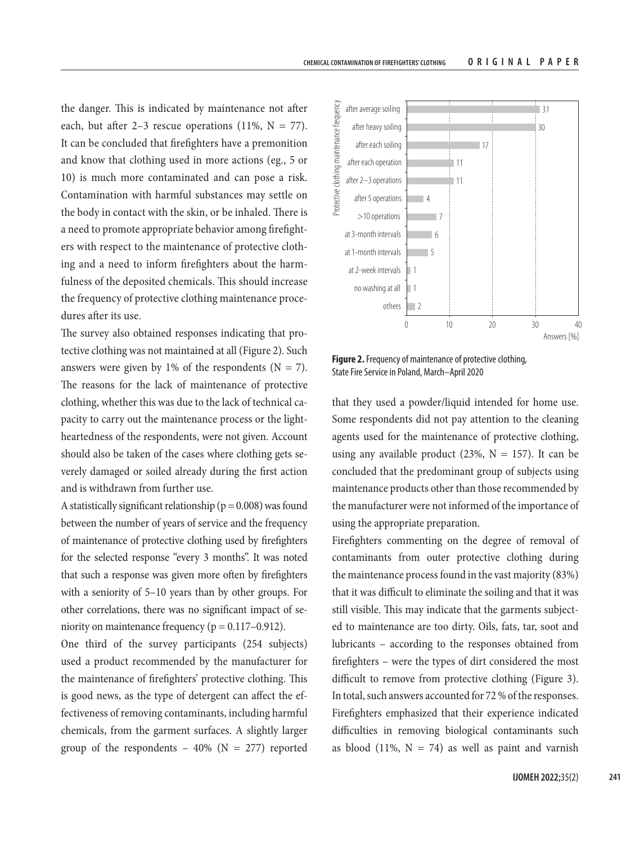the danger. This is indicated by maintenance not after each, but after 2–3 rescue operations (11%,  $N = 77$ ). It can be concluded that firefighters have a premonition and know that clothing used in more actions (eg., 5 or 10) is much more contaminated and can pose a risk. Contamination with harmful substances may settle on the body in contact with the skin, or be inhaled. There is a need to promote appropriate behavior among firefighters with respect to the maintenance of protective clothing and a need to inform firefighters about the harmfulness of the deposited chemicals. This should increase the frequency of protective clothing maintenance procedures after its use.

The survey also obtained responses indicating that protective clothing was not maintained at all (Figure 2). Such answers were given by 1% of the respondents ( $N = 7$ ). The reasons for the lack of maintenance of protective clothing, whether this was due to the lack of technical capacity to carry out the maintenance process or the lightheartedness of the respondents, were not given. Account should also be taken of the cases where clothing gets severely damaged or soiled already during the first action and is withdrawn from further use.

A statistically significant relationship ( $p = 0.008$ ) was found between the number of years of service and the frequency of maintenance of protective clothing used by firefighters for the selected response "every 3 months". It was noted that such a response was given more often by firefighters with a seniority of 5–10 years than by other groups. For other correlations, there was no significant impact of seniority on maintenance frequency ( $p = 0.117 - 0.912$ ).

One third of the survey participants (254 subjects) used a product recommended by the manufacturer for the maintenance of firefighters' protective clothing. This is good news, as the type of detergent can affect the effectiveness of removing contaminants, including harmful chemicals, from the garment surfaces. A slightly larger group of the respondents  $-40\%$  (N = 277) reported



**Figure 2.** Frequency of maintenance of protective clothing, State Fire Service in Poland, March–April 2020

that they used a powder/liquid intended for home use. Some respondents did not pay attention to the cleaning agents used for the maintenance of protective clothing, using any available product (23%,  $N = 157$ ). It can be concluded that the predominant group of subjects using maintenance products other than those recommended by the manufacturer were not informed of the importance of using the appropriate preparation.

Firefighters commenting on the degree of removal of contaminants from outer protective clothing during the maintenance process found in the vast majority (83%) that it was difficult to eliminate the soiling and that it was still visible. This may indicate that the garments subjected to maintenance are too dirty. Oils, fats, tar, soot and lubricants – according to the responses obtained from firefighters – were the types of dirt considered the most difficult to remove from protective clothing (Figure 3). In total, such answers accounted for 72 % of the responses. Firefighters emphasized that their experience indicated difficulties in removing biological contaminants such as blood (11%,  $N = 74$ ) as well as paint and varnish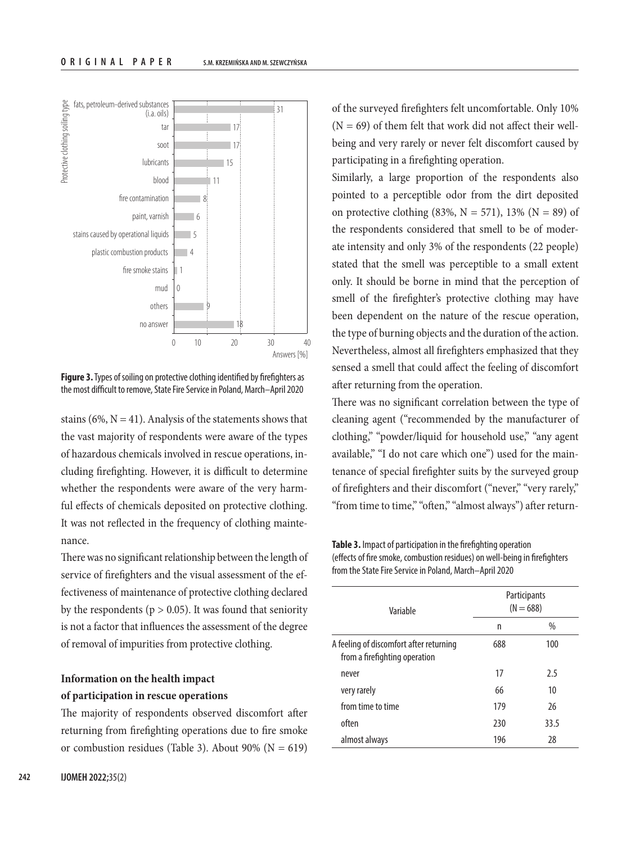

**Figure 3.** Types of soiling on protective clothing identified by firefighters as the most difficult to remove, State Fire Service in Poland, March–April 2020

stains (6%,  $N = 41$ ). Analysis of the statements shows that the vast majority of respondents were aware of the types of hazardous chemicals involved in rescue operations, including firefighting. However, it is difficult to determine whether the respondents were aware of the very harmful effects of chemicals deposited on protective clothing. It was not reflected in the frequency of clothing maintenance.

There was no significant relationship between the length of service of firefighters and the visual assessment of the effectiveness of maintenance of protective clothing declared by the respondents ( $p > 0.05$ ). It was found that seniority is not a factor that influences the assessment of the degree of removal of impurities from protective clothing.

# **Information on the health impact of participation in rescue operations**

The majority of respondents observed discomfort after returning from firefighting operations due to fire smoke or combustion residues (Table 3). About 90% ( $N = 619$ )

of the surveyed firefighters felt uncomfortable. Only 10%  $(N = 69)$  of them felt that work did not affect their wellbeing and very rarely or never felt discomfort caused by participating in a firefighting operation.

Similarly, a large proportion of the respondents also pointed to a perceptible odor from the dirt deposited on protective clothing (83%,  $N = 571$ ), 13% ( $N = 89$ ) of the respondents considered that smell to be of moderate intensity and only 3% of the respondents (22 people) stated that the smell was perceptible to a small extent only. It should be borne in mind that the perception of smell of the firefighter's protective clothing may have been dependent on the nature of the rescue operation, the type of burning objects and the duration of the action. Nevertheless, almost all firefighters emphasized that they sensed a smell that could affect the feeling of discomfort after returning from the operation.

There was no significant correlation between the type of cleaning agent ("recommended by the manufacturer of clothing," "powder/liquid for household use," "any agent available," "I do not care which one") used for the maintenance of special firefighter suits by the surveyed group of firefighters and their discomfort ("never," "very rarely," "from time to time," "often," "almost always") after return-

**Table 3.** Impact of participation in the firefighting operation (effects of fire smoke, combustion residues) on well-being in firefighters from the State Fire Service in Poland, March–April 2020

| Variable                                                                 | Participants<br>$(N = 688)$ |      |  |
|--------------------------------------------------------------------------|-----------------------------|------|--|
|                                                                          | n                           | %    |  |
| A feeling of discomfort after returning<br>from a firefighting operation | 688                         | 100  |  |
| never                                                                    | 17                          | 2.5  |  |
| very rarely                                                              | 66                          | 10   |  |
| from time to time                                                        | 179                         | 26   |  |
| often                                                                    | 230                         | 33.5 |  |
| almost always                                                            | 196                         | 28   |  |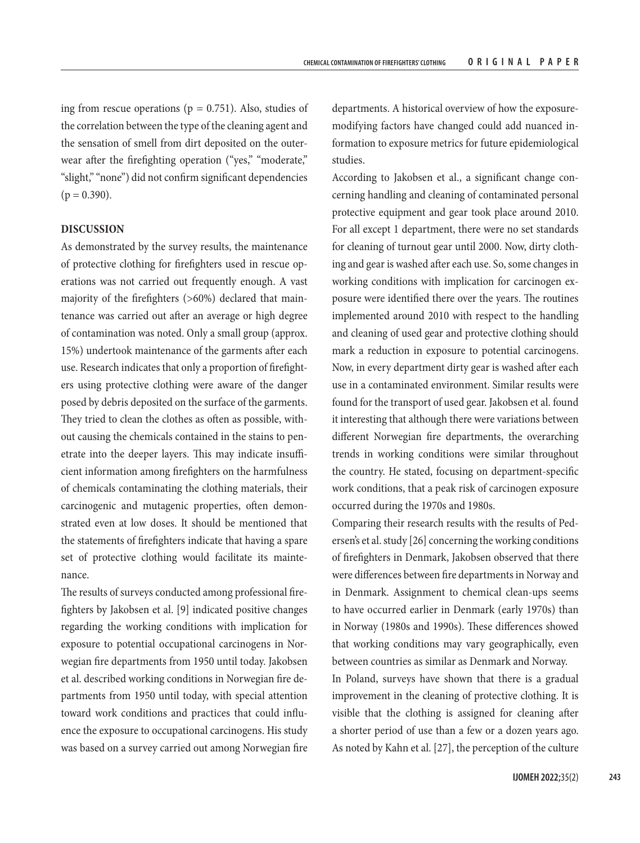ing from rescue operations ( $p = 0.751$ ). Also, studies of the correlation between the type of the cleaning agent and the sensation of smell from dirt deposited on the outerwear after the firefighting operation ("yes," "moderate," "slight," "none") did not confirm significant dependencies  $(p = 0.390)$ .

### **DISCUSSION**

As demonstrated by the survey results, the maintenance of protective clothing for firefighters used in rescue operations was not carried out frequently enough. A vast majority of the firefighters (>60%) declared that maintenance was carried out after an average or high degree of contamination was noted. Only a small group (approx. 15%) undertook maintenance of the garments after each use. Research indicates that only a proportion of firefighters using protective clothing were aware of the danger posed by debris deposited on the surface of the garments. They tried to clean the clothes as often as possible, without causing the chemicals contained in the stains to penetrate into the deeper layers. This may indicate insufficient information among firefighters on the harmfulness of chemicals contaminating the clothing materials, their carcinogenic and mutagenic properties, often demonstrated even at low doses. It should be mentioned that the statements of firefighters indicate that having a spare set of protective clothing would facilitate its maintenance.

The results of surveys conducted among professional firefighters by Jakobsen et al. [9] indicated positive changes regarding the working conditions with implication for exposure to potential occupational carcinogens in Norwegian fire departments from 1950 until today. Jakobsen et al. described working conditions in Norwegian fire departments from 1950 until today, with special attention toward work conditions and practices that could influence the exposure to occupational carcinogens. His study was based on a survey carried out among Norwegian fire departments. A historical overview of how the exposuremodifying factors have changed could add nuanced information to exposure metrics for future epidemiological studies.

According to Jakobsen et al., a significant change concerning handling and cleaning of contaminated personal protective equipment and gear took place around 2010. For all except 1 department, there were no set standards for cleaning of turnout gear until 2000. Now, dirty clothing and gear is washed after each use. So, some changes in working conditions with implication for carcinogen exposure were identified there over the years. The routines implemented around 2010 with respect to the handling and cleaning of used gear and protective clothing should mark a reduction in exposure to potential carcinogens. Now, in every department dirty gear is washed after each use in a contaminated environment. Similar results were found for the transport of used gear. Jakobsen et al. found it interesting that although there were variations between different Norwegian fire departments, the overarching trends in working conditions were similar throughout the country. He stated, focusing on department-specific work conditions, that a peak risk of carcinogen exposure occurred during the 1970s and 1980s.

Comparing their research results with the results of Pedersen's et al. study [26] concerning the working conditions of firefighters in Denmark, Jakobsen observed that there were differences between fire departments in Norway and in Denmark. Assignment to chemical clean-ups seems to have occurred earlier in Denmark (early 1970s) than in Norway (1980s and 1990s). These differences showed that working conditions may vary geographically, even between countries as similar as Denmark and Norway.

In Poland, surveys have shown that there is a gradual improvement in the cleaning of protective clothing. It is visible that the clothing is assigned for cleaning after a shorter period of use than a few or a dozen years ago. As noted by Kahn et al. [27], the perception of the culture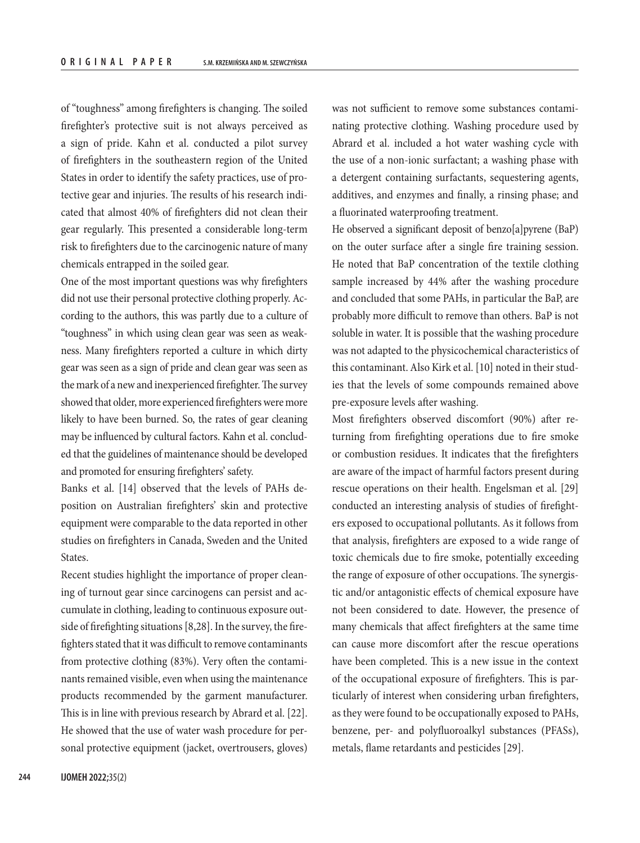of "toughness" among firefighters is changing. The soiled firefighter's protective suit is not always perceived as a sign of pride. Kahn et al. conducted a pilot survey of firefighters in the southeastern region of the United States in order to identify the safety practices, use of protective gear and injuries. The results of his research indicated that almost 40% of firefighters did not clean their gear regularly. This presented a considerable long-term risk to firefighters due to the carcinogenic nature of many chemicals entrapped in the soiled gear.

One of the most important questions was why firefighters did not use their personal protective clothing properly. According to the authors, this was partly due to a culture of "toughness" in which using clean gear was seen as weakness. Many firefighters reported a culture in which dirty gear was seen as a sign of pride and clean gear was seen as the mark of a new and inexperienced firefighter. The survey showed that older, more experienced firefighters were more likely to have been burned. So, the rates of gear cleaning may be influenced by cultural factors. Kahn et al. concluded that the guidelines of maintenance should be developed and promoted for ensuring firefighters' safety.

Banks et al. [14] observed that the levels of PAHs deposition on Australian firefighters' skin and protective equipment were comparable to the data reported in other studies on firefighters in Canada, Sweden and the United States.

Recent studies highlight the importance of proper cleaning of turnout gear since carcinogens can persist and accumulate in clothing, leading to continuous exposure outside of firefighting situations [8,28]. In the survey, the firefighters stated that it was difficult to remove contaminants from protective clothing (83%). Very often the contaminants remained visible, even when using the maintenance products recommended by the garment manufacturer. This is in line with previous research by Abrard et al. [22]. He showed that the use of water wash procedure for personal protective equipment (jacket, overtrousers, gloves) was not sufficient to remove some substances contaminating protective clothing. Washing procedure used by Abrard et al. included a hot water washing cycle with the use of a non-ionic surfactant; a washing phase with a detergent containing surfactants, sequestering agents, additives, and enzymes and finally, a rinsing phase; and a fluorinated waterproofing treatment.

He observed a significant deposit of benzo[a]pyrene (BaP) on the outer surface after a single fire training session. He noted that BaP concentration of the textile clothing sample increased by 44% after the washing procedure and concluded that some PAHs, in particular the BaP, are probably more difficult to remove than others. BaP is not soluble in water. It is possible that the washing procedure was not adapted to the physicochemical characteristics of this contaminant. Also Kirk et al. [10] noted in their studies that the levels of some compounds remained above pre-exposure levels after washing.

Most firefighters observed discomfort (90%) after returning from firefighting operations due to fire smoke or combustion residues. It indicates that the firefighters are aware of the impact of harmful factors present during rescue operations on their health. Engelsman et al. [29] conducted an interesting analysis of studies of firefighters exposed to occupational pollutants. As it follows from that analysis, firefighters are exposed to a wide range of toxic chemicals due to fire smoke, potentially exceeding the range of exposure of other occupations. The synergistic and/or antagonistic effects of chemical exposure have not been considered to date. However, the presence of many chemicals that affect firefighters at the same time can cause more discomfort after the rescue operations have been completed. This is a new issue in the context of the occupational exposure of firefighters. This is particularly of interest when considering urban firefighters, as they were found to be occupationally exposed to PAHs, benzene, per- and polyfluoroalkyl substances (PFASs), metals, flame retardants and pesticides [29].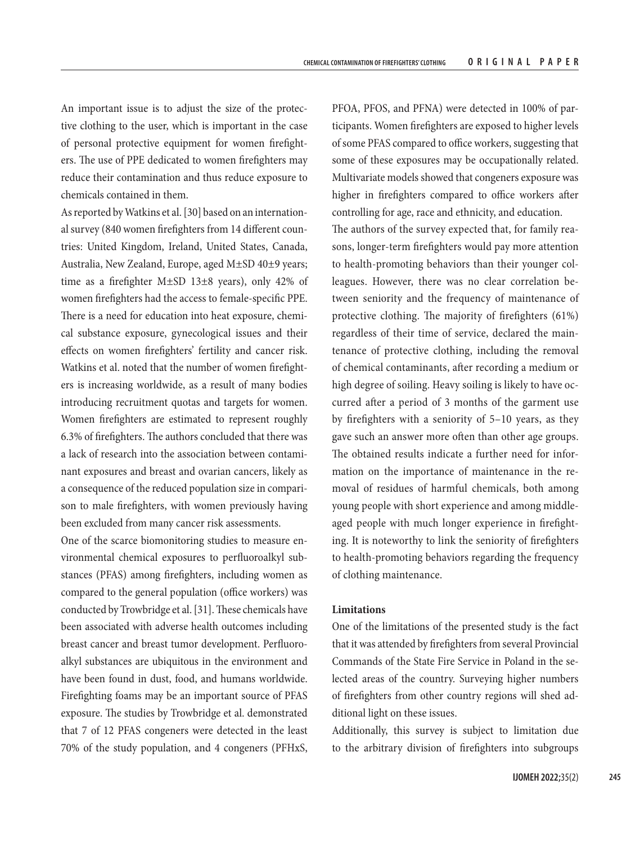An important issue is to adjust the size of the protective clothing to the user, which is important in the case of personal protective equipment for women firefighters. The use of PPE dedicated to women firefighters may reduce their contamination and thus reduce exposure to chemicals contained in them.

As reported by Watkins et al. [30] based on an international survey (840 women firefighters from 14 different countries: United Kingdom, Ireland, United States, Canada, Australia, New Zealand, Europe, aged M±SD 40±9 years; time as a firefighter M±SD 13±8 years), only 42% of women firefighters had the access to female-specific PPE. There is a need for education into heat exposure, chemical substance exposure, gynecological issues and their effects on women firefighters' fertility and cancer risk. Watkins et al. noted that the number of women firefighters is increasing worldwide, as a result of many bodies introducing recruitment quotas and targets for women. Women firefighters are estimated to represent roughly 6.3% of firefighters. The authors concluded that there was a lack of research into the association between contaminant exposures and breast and ovarian cancers, likely as a consequence of the reduced population size in comparison to male firefighters, with women previously having been excluded from many cancer risk assessments.

One of the scarce biomonitoring studies to measure environmental chemical exposures to perfluoroalkyl substances (PFAS) among firefighters, including women as compared to the general population (office workers) was conducted by Trowbridge et al. [31]. These chemicals have been associated with adverse health outcomes including breast cancer and breast tumor development. Perfluoroalkyl substances are ubiquitous in the environment and have been found in dust, food, and humans worldwide. Firefighting foams may be an important source of PFAS exposure. The studies by Trowbridge et al. demonstrated that 7 of 12 PFAS congeners were detected in the least 70% of the study population, and 4 congeners (PFHxS,

PFOA, PFOS, and PFNA) were detected in 100% of participants. Women firefighters are exposed to higher levels of some PFAS compared to office workers, suggesting that some of these exposures may be occupationally related. Multivariate models showed that congeners exposure was higher in firefighters compared to office workers after controlling for age, race and ethnicity, and education. The authors of the survey expected that, for family reasons, longer-term firefighters would pay more attention to health-promoting behaviors than their younger colleagues. However, there was no clear correlation between seniority and the frequency of maintenance of protective clothing. The majority of firefighters (61%) regardless of their time of service, declared the maintenance of protective clothing, including the removal of chemical contaminants, after recording a medium or high degree of soiling. Heavy soiling is likely to have occurred after a period of 3 months of the garment use by firefighters with a seniority of 5–10 years, as they gave such an answer more often than other age groups. The obtained results indicate a further need for information on the importance of maintenance in the removal of residues of harmful chemicals, both among young people with short experience and among middleaged people with much longer experience in firefight-

ing. It is noteworthy to link the seniority of firefighters to health-promoting behaviors regarding the frequency of clothing maintenance.

#### **Limitations**

One of the limitations of the presented study is the fact that it was attended by firefighters from several Provincial Commands of the State Fire Service in Poland in the selected areas of the country. Surveying higher numbers of firefighters from other country regions will shed additional light on these issues.

Additionally, this survey is subject to limitation due to the arbitrary division of firefighters into subgroups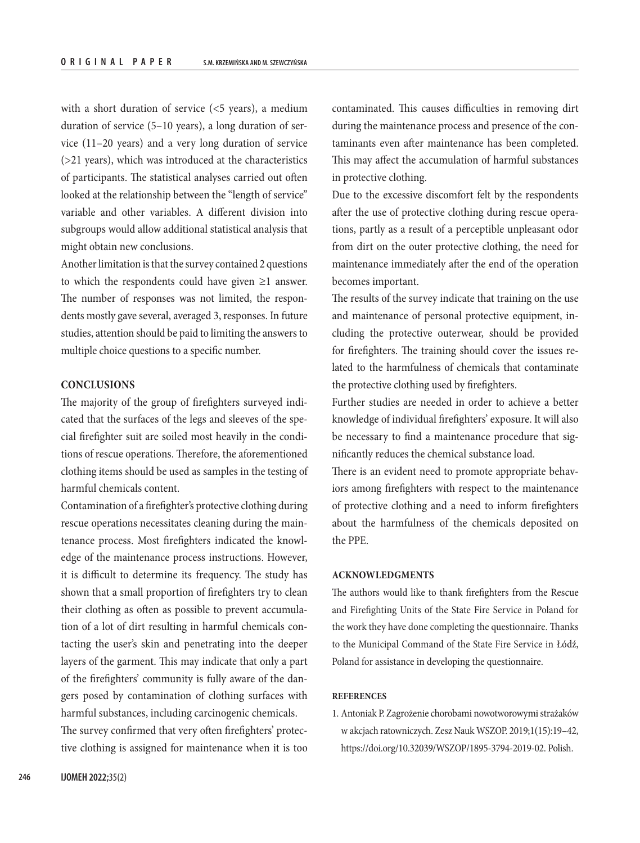with a short duration of service  $(5$  years), a medium duration of service (5–10 years), a long duration of service (11–20 years) and a very long duration of service (>21 years), which was introduced at the characteristics of participants. The statistical analyses carried out often looked at the relationship between the "length of service" variable and other variables. A different division into subgroups would allow additional statistical analysis that might obtain new conclusions.

Another limitation is that the survey contained 2 questions to which the respondents could have given  $\geq 1$  answer. The number of responses was not limited, the respondents mostly gave several, averaged 3, responses. In future studies, attention should be paid to limiting the answers to multiple choice questions to a specific number.

#### **CONCLUSIONS**

The majority of the group of firefighters surveyed indicated that the surfaces of the legs and sleeves of the special firefighter suit are soiled most heavily in the conditions of rescue operations. Therefore, the aforementioned clothing items should be used as samples in the testing of harmful chemicals content.

Contamination of a firefighter's protective clothing during rescue operations necessitates cleaning during the maintenance process. Most firefighters indicated the knowledge of the maintenance process instructions. However, it is difficult to determine its frequency. The study has shown that a small proportion of firefighters try to clean their clothing as often as possible to prevent accumulation of a lot of dirt resulting in harmful chemicals contacting the user's skin and penetrating into the deeper layers of the garment. This may indicate that only a part of the firefighters' community is fully aware of the dangers posed by contamination of clothing surfaces with harmful substances, including carcinogenic chemicals. The survey confirmed that very often firefighters' protective clothing is assigned for maintenance when it is too

contaminated. This causes difficulties in removing dirt during the maintenance process and presence of the contaminants even after maintenance has been completed. This may affect the accumulation of harmful substances in protective clothing.

Due to the excessive discomfort felt by the respondents after the use of protective clothing during rescue operations, partly as a result of a perceptible unpleasant odor from dirt on the outer protective clothing, the need for maintenance immediately after the end of the operation becomes important.

The results of the survey indicate that training on the use and maintenance of personal protective equipment, including the protective outerwear, should be provided for firefighters. The training should cover the issues related to the harmfulness of chemicals that contaminate the protective clothing used by firefighters.

Further studies are needed in order to achieve a better knowledge of individual firefighters' exposure. It will also be necessary to find a maintenance procedure that significantly reduces the chemical substance load.

There is an evident need to promote appropriate behaviors among firefighters with respect to the maintenance of protective clothing and a need to inform firefighters about the harmfulness of the chemicals deposited on the PPE.

#### **ACKNOWLEDGMENTS**

The authors would like to thank firefighters from the Rescue and Firefighting Units of the State Fire Service in Poland for the work they have done completing the questionnaire. Thanks to the Municipal Command of the State Fire Service in Łódź, Poland for assistance in developing the questionnaire.

#### **REFERENCES**

1. Antoniak P. Zagrożenie chorobami nowotworowymi strażaków w akcjach ratowniczych. Zesz Nauk WSZOP. 2019;1(15):19–42, <https://doi.org/10.32039/WSZOP/1895-3794-2019-02>. Polish.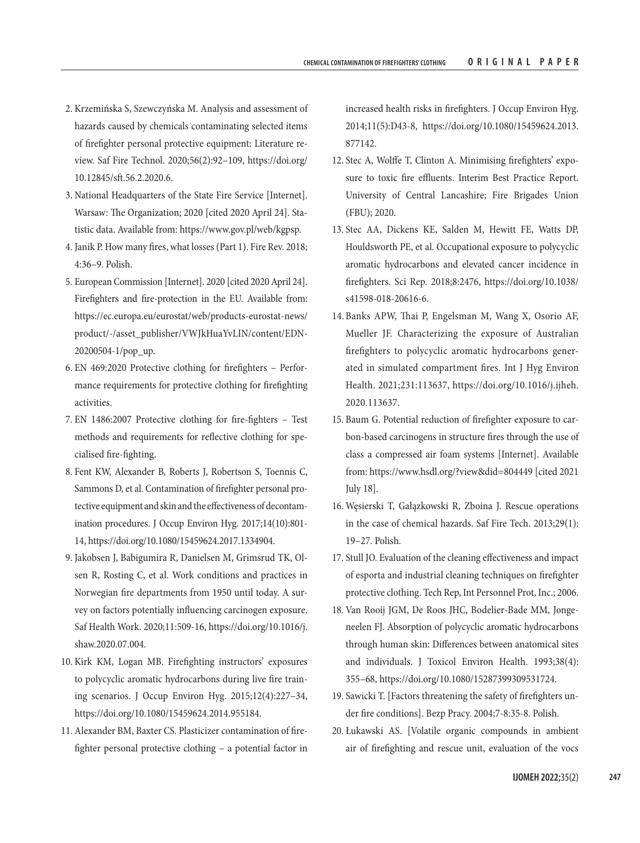- 2. Krzemińska S, Szewczyńska M. Analysis and assessment of hazards caused by chemicals contaminating selected items of firefighter personal protective equipment: Literature review. Saf Fire Technol. 2020;56(2):92–109, [https://doi.org/](https://doi.org/10.12845/sft.56.2.2020.6) [10.12845/sft.56.2.2020.6.](https://doi.org/10.12845/sft.56.2.2020.6)
- 3. National Headquarters of the State Fire Service [Internet]. Warsaw: The Organization; 2020 [cited 2020 April 24]. Statistic data. Available from:<https://www.gov.pl/web/kgpsp>.
- 4. Janik P. How many fires, what losses (Part 1). Fire Rev. 2018; 4:36–9. Polish.
- 5. European Commission [Internet]. 2020 [cited 2020 April 24]. Firefighters and fire-protection in the EU. Available from: [https://ec.europa.eu/eurostat/web/products-eurostat-news/](https://ec.europa.eu/eurostat/web/products-eurostat-news/product/-/asset_publisher/VWJkHuaYvLIN/content/EDN-20200504-1/pop_up) [product/-/asset\\_publisher/VWJkHuaYvLIN/content/EDN-](https://ec.europa.eu/eurostat/web/products-eurostat-news/product/-/asset_publisher/VWJkHuaYvLIN/content/EDN-20200504-1/pop_up)[20200504-1/pop\\_up](https://ec.europa.eu/eurostat/web/products-eurostat-news/product/-/asset_publisher/VWJkHuaYvLIN/content/EDN-20200504-1/pop_up).
- 6. EN 469:2020 Protective clothing for firefighters Performance requirements for protective clothing for firefighting activities.
- 7. EN 1486:2007 Protective clothing for fire-fighters Test methods and requirements for reflective clothing for specialised fire-fighting.
- 8. Fent KW, Alexander B, Roberts J, Robertson S, Toennis C, Sammons D, et al. Contamination of firefighter personal protective equipment and skin and the effectiveness of decontamination procedures. J Occup Environ Hyg. 2017;14(10):801- 14, [https://doi.org/10.1080/15459624.2017.1334904.](https://doi.org/10.1080/15459624.2017.1334904)
- 9. Jakobsen J, Babigumira R, Danielsen M, Grimsrud TK, Olsen R, Rosting C, et al. Work conditions and practices in Norwegian fire departments from 1950 until today. A survey on factors potentially influencing carcinogen exposure. Saf Health Work. 2020;11:509-16, [https://doi.org/10.1016/j.](https://doi.org/10.1016/j.shaw.2020.07.004) [shaw.2020.07.004.](https://doi.org/10.1016/j.shaw.2020.07.004)
- 10. Kirk KM, Logan MB. Firefighting instructors' exposures to polycyclic aromatic hydrocarbons during live fire training scenarios. J Occup Environ Hyg. 2015;12(4):227–34, <https://doi.org/10.1080/15459624.2014.955184>.
- 11. Alexander BM, Baxter CS. Plasticizer contamination of firefighter personal protective clothing – a potential factor in

increased health risks in firefighters. J Occup Environ Hyg. 2014;11(5):D43-8, https://doi.org[/10.1080/15459624.2013.](https://doi.org/10.1080/15459624.2013.877142) [877142](https://doi.org/10.1080/15459624.2013.877142).

- 12. Stec A, Wolffe T, Clinton A. Minimising firefighters' exposure to toxic fire effluents. Interim Best Practice Report. University of Central Lancashire; Fire Brigades Union (FBU); 2020.
- 13. Stec AA, Dickens KE, Salden M, Hewitt FE, Watts DP, Houldsworth PE, et al. Occupational exposure to polycyclic aromatic hydrocarbons and elevated cancer incidence in firefighters. Sci Rep. 2018;8:2476, [https://doi.org/10.1038/](https://doi.org/10.1038/s41598-018-20616-6) [s41598-018-20616-6.](https://doi.org/10.1038/s41598-018-20616-6)
- 14. Banks APW, Thai P, Engelsman M, Wang X, Osorio AF, Mueller JF. Characterizing the exposure of Australian firefighters to polycyclic aromatic hydrocarbons generated in simulated compartment fires. Int J Hyg Environ Health. 2021;231:113637, [https://doi.org/10.1016/j.ijheh.](https://doi.org/10.1016/j.ijheh.2020.113637) [2020.113637.](https://doi.org/10.1016/j.ijheh.2020.113637)
- 15. Baum G. Potential reduction of firefighter exposure to carbon-based carcinogens in structure fires through the use of class a compressed air foam systems [Internet]. Available from:<https://www.hsdl.org/?view&did=804449>[cited 2021 July 18].
- 16. Węsierski T, Gałązkowski R, Zboina J. Rescue operations in the case of chemical hazards. Saf Fire Tech. 2013;29(1): 19–27. Polish.
- 17. Stull JO. Evaluation of the cleaning effectiveness and impact of esporta and industrial cleaning techniques on firefighter protective clothing. Tech Rep, Int Personnel Prot, Inc.; 2006.
- 18. Van Rooij JGM, De Roos JHC, Bodelier‐Bade MM, Jongeneelen FJ. Absorption of polycyclic aromatic hydrocarbons through human skin: Differences between anatomical sites and individuals. J Toxicol Environ Health. 1993;38(4): 355–68,<https://doi.org/10.1080/15287399309531724>.
- 19. Sawicki T. [Factors threatening the safety of firefighters under fire conditions]. Bezp Pracy. 2004;7-8:35-8. Polish.
- 20. Łukawski AS. [Volatile organic compounds in ambient air of firefighting and rescue unit, evaluation of the vocs